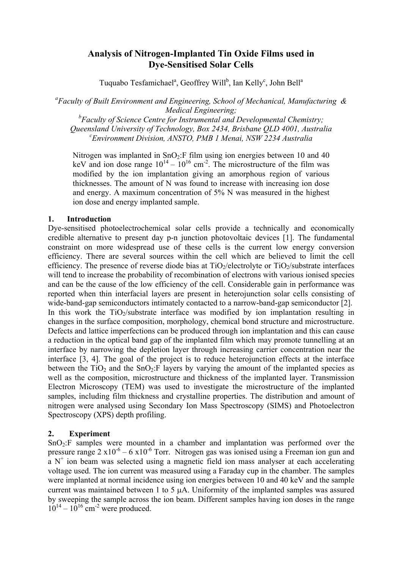# **Analysis of Nitrogen-Implanted Tin Oxide Films used in Dye-Sensitised Solar Cells**

Tuquabo Tesfamichael<sup>a</sup>, Geoffrey Will<sup>b</sup>, Ian Kelly<sup>c</sup>, John Bell<sup>a</sup>

*a Faculty of Built Environment and Engineering, School of Mechanical, Manufacturing & Medical Engineering;* 

*b Faculty of Science Centre for Instrumental and Developmental Chemistry; Queensland University of Technology, Box 2434, Brisbane QLD 4001, Australia c Environment Division, ANSTO, PMB 1 Menai, NSW 2234 Australia* 

Nitrogen was implanted in  $SnO<sub>2</sub>:F$  film using ion energies between 10 and 40 keV and ion dose range  $10^{14} - 10^{16}$  cm<sup>-2</sup>. The microstructure of the film was modified by the ion implantation giving an amorphous region of various thicknesses. The amount of N was found to increase with increasing ion dose and energy. A maximum concentration of 5% N was measured in the highest ion dose and energy implanted sample.

# **1. Introduction**

Dye-sensitised photoelectrochemical solar cells provide a technically and economically credible alternative to present day p-n junction photovoltaic devices [1]. The fundamental constraint on more widespread use of these cells is the current low energy conversion efficiency. There are several sources within the cell which are believed to limit the cell efficiency. The presence of reverse diode bias at  $TiO<sub>2</sub>/electrolyte$  or  $TiO<sub>2</sub>/substrate$  interfaces will tend to increase the probability of recombination of electrons with various ionised species and can be the cause of the low efficiency of the cell. Considerable gain in performance was reported when thin interfacial layers are present in heterojunction solar cells consisting of wide-band-gap semiconductors intimately contacted to a narrow-band-gap semiconductor [2]. In this work the  $TiO<sub>2</sub>/substrate$  interface was modified by ion implantation resulting in changes in the surface composition, morphology, chemical bond structure and microstructure. Defects and lattice imperfections can be produced through ion implantation and this can cause a reduction in the optical band gap of the implanted film which may promote tunnelling at an interface by narrowing the depletion layer through increasing carrier concentration near the interface [3, 4]. The goal of the project is to reduce heterojunction effects at the interface between the  $TiO<sub>2</sub>$  and the  $SnO<sub>2</sub>:F$  layers by varying the amount of the implanted species as well as the composition, microstructure and thickness of the implanted layer. Transmission Electron Microscopy (TEM) was used to investigate the microstructure of the implanted samples, including film thickness and crystalline properties. The distribution and amount of nitrogen were analysed using Secondary Ion Mass Spectroscopy (SIMS) and Photoelectron Spectroscopy (XPS) depth profiling.

# **2. Experiment**

SnO2:F samples were mounted in a chamber and implantation was performed over the pressure range  $2 \times 10^{-6} - 6 \times 10^{-6}$  Torr. Nitrogen gas was ionised using a Freeman ion gun and  $a$  N<sup>+</sup> ion beam was selected using a magnetic field ion mass analyser at each accelerating voltage used. The ion current was measured using a Faraday cup in the chamber. The samples were implanted at normal incidence using ion energies between 10 and 40 keV and the sample current was maintained between 1 to 5 µA. Uniformity of the implanted samples was assured by sweeping the sample across the ion beam. Different samples having ion doses in the range  $10^{14} - 10^{16}$  cm<sup>-2</sup> were produced.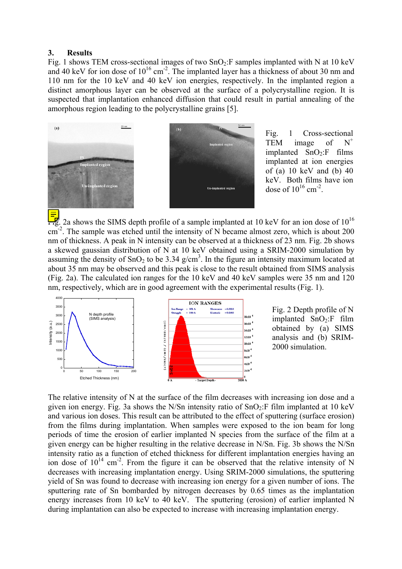#### **3. Results**

Fig. 1 shows TEM cross-sectional images of two  $SnO<sub>2</sub>:F$  samples implanted with N at 10 keV and 40 keV for ion dose of  $10^{16}$  cm<sup>-2</sup>. The implanted layer has a thickness of about 30 nm and 110 nm for the 10 keV and 40 keV ion energies, respectively. In the implanted region a distinct amorphous layer can be observed at the surface of a polycrystalline region. It is suspected that implantation enhanced diffusion that could result in partial annealing of the amorphous region leading to the polycrystalline grains [5].





Fig. 1 Cross-sectional TEM image of  $N^+$ implanted  $SnO<sub>2</sub>:F$  films implanted at ion energies of (a) 10 keV and (b) 40 keV. Both films have ion dose of  $10^{16}$  cm<sup>-2</sup>.

 $\frac{1}{2}$ . 2a shows the SIMS depth profile of a sample implanted at 10 keV for an ion dose of 10<sup>16</sup>  $\text{cm}^2$ . The sample was etched until the intensity of N became almost zero, which is about 200 nm of thickness. A peak in N intensity can be observed at a thickness of 23 nm. Fig. 2b shows a skewed gaussian distribution of N at 10 keV obtained using a SRIM-2000 simulation by assuming the density of  $SnO<sub>2</sub>$  to be 3.34 g/cm<sup>3</sup>. In the figure an intensity maximum located at about 35 nm may be observed and this peak is close to the result obtained from SIMS analysis (Fig. 2a). The calculated ion ranges for the 10 keV and 40 keV samples were 35 nm and 120 nm, respectively, which are in good agreement with the experimental results (Fig. 1).



Fig. 2 Depth profile of N implanted  $SnO<sub>2</sub>:F$  film obtained by (a) SIMS analysis and (b) SRIM-2000 simulation.

The relative intensity of N at the surface of the film decreases with increasing ion dose and a given ion energy. Fig. 3a shows the N/Sn intensity ratio of  $SnO<sub>2</sub>:F film implanted at 10 keV$ and various ion doses. This result can be attributed to the effect of sputtering (surface erosion) from the films during implantation. When samples were exposed to the ion beam for long periods of time the erosion of earlier implanted N species from the surface of the film at a given energy can be higher resulting in the relative decrease in N/Sn. Fig. 3b shows the N/Sn intensity ratio as a function of etched thickness for different implantation energies having an ion dose of  $10^{14}$  cm<sup>-2</sup>. From the figure it can be observed that the relative intensity of N decreases with increasing implantation energy. Using SRIM-2000 simulations, the sputtering yield of Sn was found to decrease with increasing ion energy for a given number of ions. The sputtering rate of Sn bombarded by nitrogen decreases by 0.65 times as the implantation energy increases from 10 keV to 40 keV. The sputtering (erosion) of earlier implanted N during implantation can also be expected to increase with increasing implantation energy.